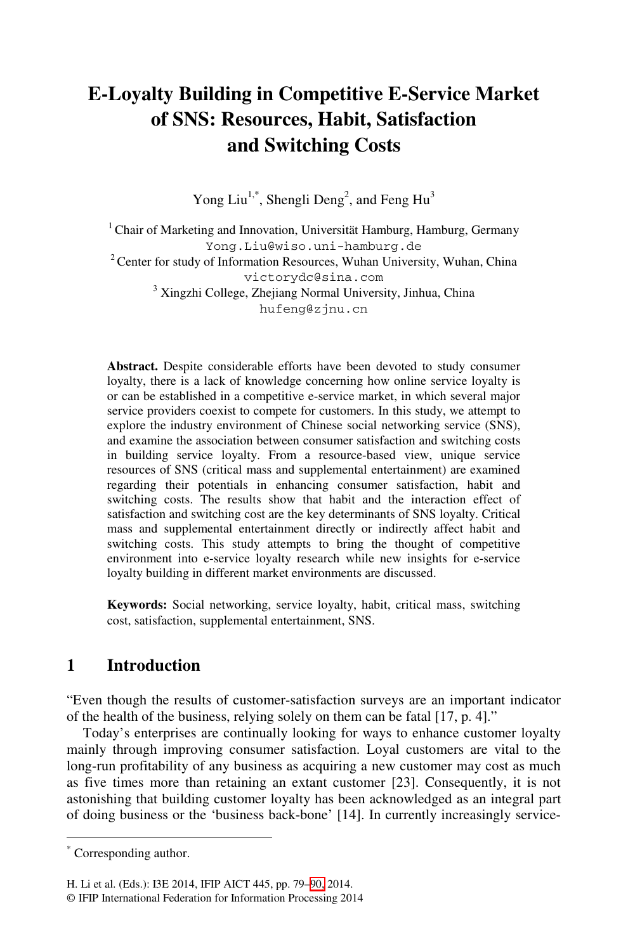# **E-Loyalty Building in Competitive E-Service Market of SNS: Resources, Habit, Satisfaction and Switching Costs**

Yong Liu<sup>1,\*</sup>, Shengli Deng<sup>2</sup>, and Feng Hu<sup>3</sup>

<sup>1</sup> Chair of Marketing and Innovation, Universität Hamburg, Hamburg, Germany Yong.Liu@wiso.uni-hamburg.de

 $2^2$  Center for study of Information Resources, Wuhan University, Wuhan, China victorydc@sina.com

<sup>3</sup> Xingzhi College, Zhejiang Normal University, Jinhua, China hufeng@zjnu.cn

**Abstract.** Despite considerable efforts have been devoted to study consumer loyalty, there is a lack of knowledge concerning how online service loyalty is or can be established in a competitive e-service market, in which several major service providers coexist to compete for customers. In this study, we attempt to explore the industry environment of Chinese social networking service (SNS), and examine the association between consumer satisfaction and switching costs in building service loyalty. From a resource-based view, unique service resources of SNS (critical mass and supplemental entertainment) are examined regarding their potentials in enhancing consumer satisfaction, habit and switching costs. The results show that habit and the interaction effect of satisfaction and switching cost are the key determinants of SNS loyalty. Critical mass and supplemental entertainment directly or indirectly affect habit and switching costs. This study attempts to bring the thought of competitive environment into e-service loyalty research while new insights for e-service loyalty building in different market environments are discussed.

**Keywords:** Social networking, service loyalty, habit, critical mass, switching cost, satisfaction, supplemental entertainment, SNS.

# **1 Introduction**

"Even though the results of customer-satisfaction surveys are an important indicator of the health of the business, relying solely on them can be fatal [17, p. 4]."

Today's enterprises are continually looking for ways to enhance customer loyalty mainly through impro[vin](#page-11-0)g consumer satisfaction. Loyal customers are vital to the long-run profitability of any business as acquiring a new customer may cost as much as five times more than retaining an extant customer [23]. Consequently, it is not astonishing that building customer loyalty has been acknowledged as an integral part of doing business or the 'business back-bone' [14]. In currently increasingly service-

-

<sup>\*</sup> Corresponding author.

H. Li et al. (Eds.): I3E 2014, IFIP AICT 445, pp. 79–90, 2014.

<sup>©</sup> IFIP International Federation for Information Processing 2014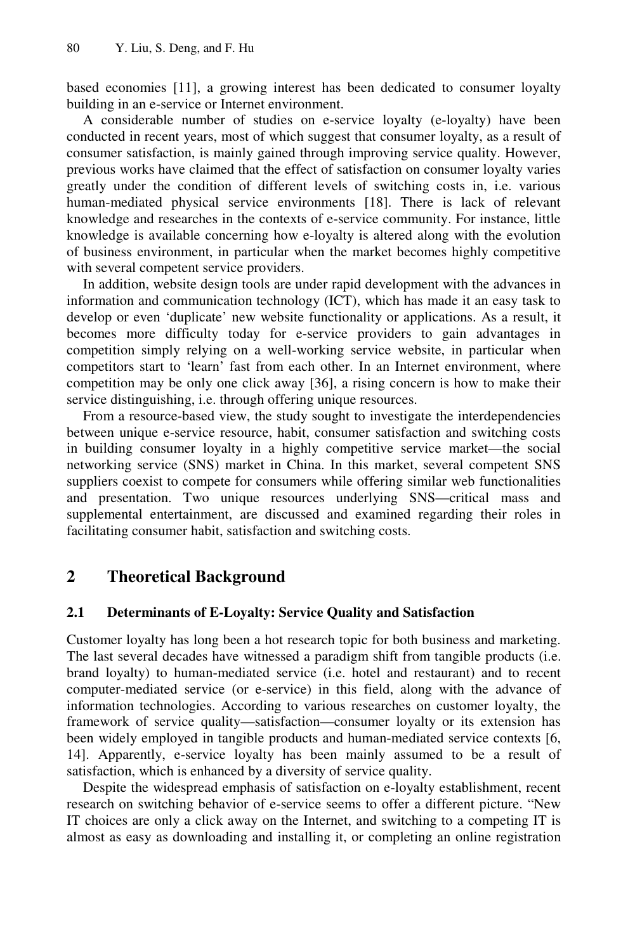based economies [11], a growing interest has been dedicated to consumer loyalty building in an e-service or Internet environment.

A considerable number of studies on e-service loyalty (e-loyalty) have been conducted in recent years, most of which suggest that consumer loyalty, as a result of consumer satisfaction, is mainly gained through improving service quality. However, previous works have claimed that the effect of satisfaction on consumer loyalty varies greatly under the condition of different levels of switching costs in, i.e. various human-mediated physical service environments [18]. There is lack of relevant knowledge and researches in the contexts of e-service community. For instance, little knowledge is available concerning how e-loyalty is altered along with the evolution of business environment, in particular when the market becomes highly competitive with several competent service providers.

In addition, website design tools are under rapid development with the advances in information and communication technology (ICT), which has made it an easy task to develop or even 'duplicate' new website functionality or applications. As a result, it becomes more difficulty today for e-service providers to gain advantages in competition simply relying on a well-working service website, in particular when competitors start to 'learn' fast from each other. In an Internet environment, where competition may be only one click away [36], a rising concern is how to make their service distinguishing, i.e. through offering unique resources.

From a resource-based view, the study sought to investigate the interdependencies between unique e-service resource, habit, consumer satisfaction and switching costs in building consumer loyalty in a highly competitive service market—the social networking service (SNS) market in China. In this market, several competent SNS suppliers coexist to compete for consumers while offering similar web functionalities and presentation. Two unique resources underlying SNS—critical mass and supplemental entertainment, are discussed and examined regarding their roles in facilitating consumer habit, satisfaction and switching costs.

# **2 Theoretical Background**

### **2.1 Determinants of E-Loyalty: Service Quality and Satisfaction**

Customer loyalty has long been a hot research topic for both business and marketing. The last several decades have witnessed a paradigm shift from tangible products (i.e. brand loyalty) to human-mediated service (i.e. hotel and restaurant) and to recent computer-mediated service (or e-service) in this field, along with the advance of information technologies. According to various researches on customer loyalty, the framework of service quality—satisfaction—consumer loyalty or its extension has been widely employed in tangible products and human-mediated service contexts [6, 14]. Apparently, e-service loyalty has been mainly assumed to be a result of satisfaction, which is enhanced by a diversity of service quality.

Despite the widespread emphasis of satisfaction on e-loyalty establishment, recent research on switching behavior of e-service seems to offer a different picture. "New IT choices are only a click away on the Internet, and switching to a competing IT is almost as easy as downloading and installing it, or completing an online registration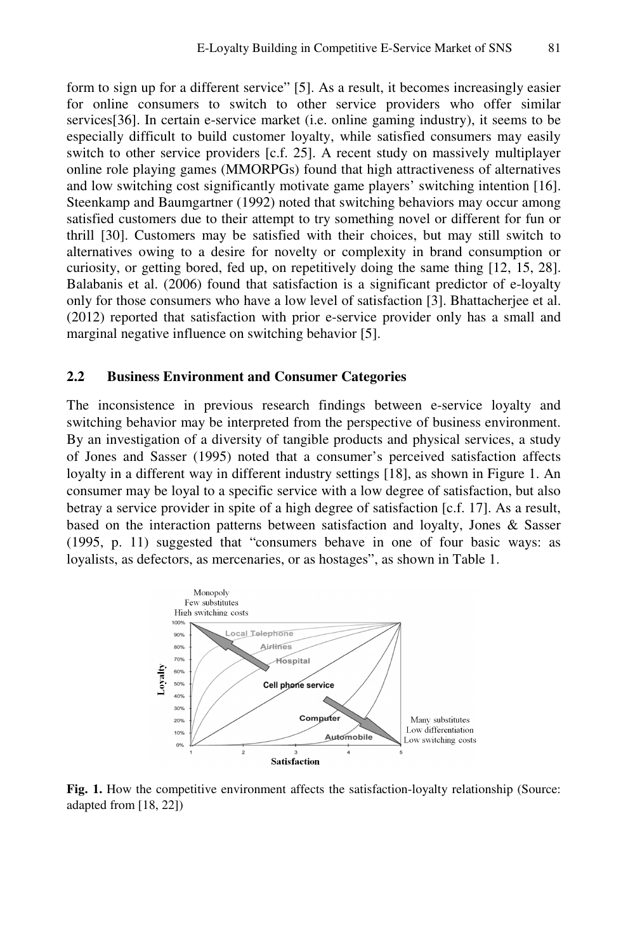form to sign up for a different service" [5]. As a result, it becomes increasingly easier for online consumers to switch to other service providers who offer similar services[36]. In certain e-service market (i.e. online gaming industry), it seems to be especially difficult to build customer loyalty, while satisfied consumers may easily switch to other service providers [c.f. 25]. A recent study on massively multiplayer online role playing games (MMORPGs) found that high attractiveness of alternatives and low switching cost significantly motivate game players' switching intention [16]. Steenkamp and Baumgartner (1992) noted that switching behaviors may occur among satisfied customers due to their attempt to try something novel or different for fun or thrill [30]. Customers may be satisfied with their choices, but may still switch to alternatives owing to a desire for novelty or complexity in brand consumption or curiosity, or getting bored, fed up, on repetitively doing the same thing [12, 15, 28]. Balabanis et al. (2006) found that satisfaction is a significant predictor of e-loyalty only for those consumers who have a low level of satisfaction [3]. Bhattacherjee et al. (2012) reported that satisfaction with prior e-service provider only has a small and marginal negative influence on switching behavior [5].

#### **2.2 Business Environment and Consumer Categories**

The inconsistence in previous research findings between e-service loyalty and switching behavior may be interpreted from the perspective of business environment. By an investigation of a diversity of tangible products and physical services, a study of Jones and Sasser (1995) noted that a consumer's perceived satisfaction affects loyalty in a different way in different industry settings [18], as shown in Figure 1. An consumer may be loyal to a specific service with a low degree of satisfaction, but also betray a service provider in spite of a high degree of satisfaction [c.f. 17]. As a result, based on the interaction patterns between satisfaction and loyalty, Jones & Sasser (1995, p. 11) suggested that "consumers behave in one of four basic ways: as loyalists, as defectors, as mercenaries, or as hostages", as shown in Table 1.



**Fig. 1.** How the competitive environment affects the satisfaction-loyalty relationship (Source: adapted from [18, 22])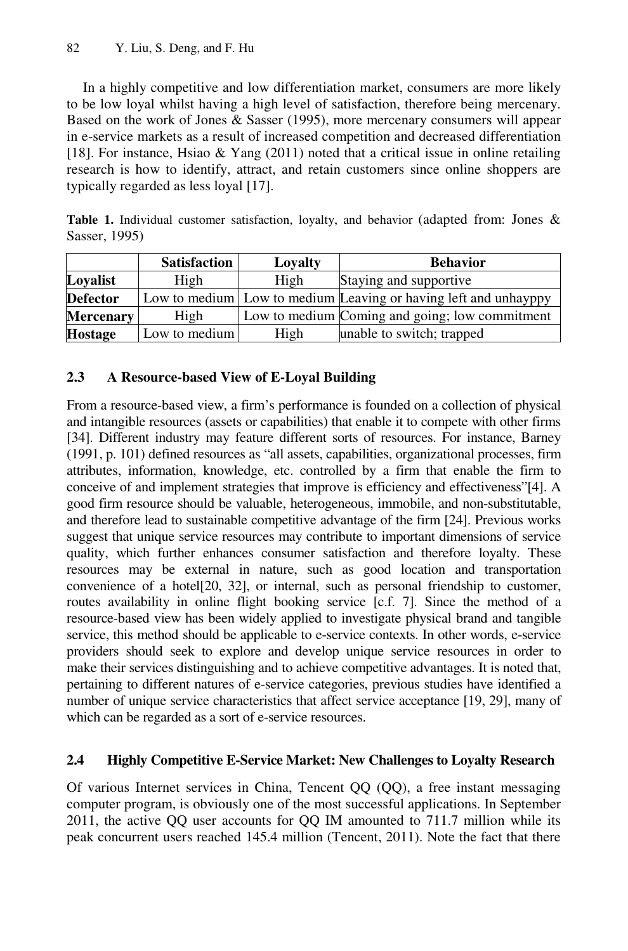In a highly competitive and low differentiation market, consumers are more likely to be low loyal whilst having a high level of satisfaction, therefore being mercenary. Based on the work of Jones & Sasser (1995), more mercenary consumers will appear in e-service markets as a result of increased competition and decreased differentiation [18]. For instance, Hsiao  $& Yang (2011)$  noted that a critical issue in online retailing research is how to identify, attract, and retain customers since online shoppers are typically regarded as less loyal [17].

**Table 1.** Individual customer satisfaction, loyalty, and behavior (adapted from: Jones & Sasser, 1995)

|                  | <b>Satisfaction</b> | Loyalty | <b>Behavior</b>                                                 |
|------------------|---------------------|---------|-----------------------------------------------------------------|
| Loyalist         | High                | High    | Staying and supportive                                          |
| <b>Defector</b>  |                     |         | Low to medium Low to medium Leaving or having left and unhayppy |
| <b>Mercenary</b> | High                |         | Low to medium Coming and going; low commitment                  |
| <b>Hostage</b>   | Low to medium       | High    | unable to switch; trapped                                       |

### **2.3 A Resource-based View of E-Loyal Building**

From a resource-based view, a firm's performance is founded on a collection of physical and intangible resources (assets or capabilities) that enable it to compete with other firms [34]. Different industry may feature different sorts of resources. For instance, Barney (1991, p. 101) defined resources as "all assets, capabilities, organizational processes, firm attributes, information, knowledge, etc. controlled by a firm that enable the firm to conceive of and implement strategies that improve is efficiency and effectiveness"[4]. A good firm resource should be valuable, heterogeneous, immobile, and non-substitutable, and therefore lead to sustainable competitive advantage of the firm [24]. Previous works suggest that unique service resources may contribute to important dimensions of service quality, which further enhances consumer satisfaction and therefore loyalty. These resources may be external in nature, such as good location and transportation convenience of a hotel[20, 32], or internal, such as personal friendship to customer, routes availability in online flight booking service [c.f. 7]. Since the method of a resource-based view has been widely applied to investigate physical brand and tangible service, this method should be applicable to e-service contexts. In other words, e-service providers should seek to explore and develop unique service resources in order to make their services distinguishing and to achieve competitive advantages. It is noted that, pertaining to different natures of e-service categories, previous studies have identified a number of unique service characteristics that affect service acceptance [19, 29], many of which can be regarded as a sort of e-service resources.

### **2.4 Highly Competitive E-Service Market: New Challenges to Loyalty Research**

Of various Internet services in China, Tencent QQ (QQ), a free instant messaging computer program, is obviously one of the most successful applications. In September 2011, the active QQ user accounts for QQ IM amounted to 711.7 million while its peak concurrent users reached 145.4 million (Tencent, 2011). Note the fact that there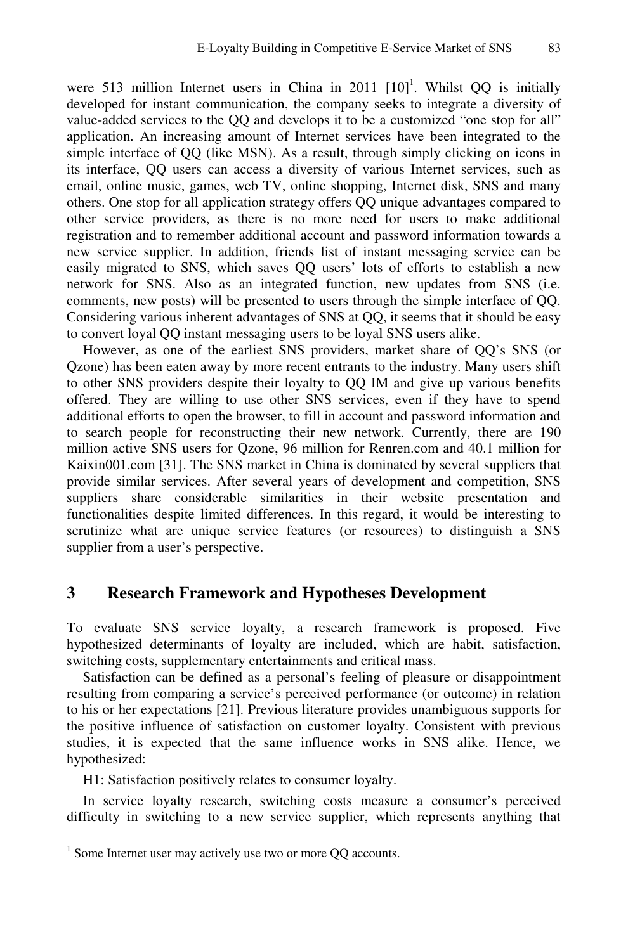were 513 million Internet users in China in 2011  $[10]$ <sup>1</sup>. Whilst QQ is initially developed for instant communication, the company seeks to integrate a diversity of value-added services to the QQ and develops it to be a customized "one stop for all" application. An increasing amount of Internet services have been integrated to the simple interface of QQ (like MSN). As a result, through simply clicking on icons in its interface, QQ users can access a diversity of various Internet services, such as email, online music, games, web TV, online shopping, Internet disk, SNS and many others. One stop for all application strategy offers QQ unique advantages compared to other service providers, as there is no more need for users to make additional registration and to remember additional account and password information towards a new service supplier. In addition, friends list of instant messaging service can be easily migrated to SNS, which saves QQ users' lots of efforts to establish a new network for SNS. Also as an integrated function, new updates from SNS (i.e. comments, new posts) will be presented to users through the simple interface of QQ. Considering various inherent advantages of SNS at QQ, it seems that it should be easy to convert loyal QQ instant messaging users to be loyal SNS users alike.

However, as one of the earliest SNS providers, market share of QQ's SNS (or Qzone) has been eaten away by more recent entrants to the industry. Many users shift to other SNS providers despite their loyalty to QQ IM and give up various benefits offered. They are willing to use other SNS services, even if they have to spend additional efforts to open the browser, to fill in account and password information and to search people for reconstructing their new network. Currently, there are 190 million active SNS users for Qzone, 96 million for Renren.com and 40.1 million for Kaixin001.com [31]. The SNS market in China is dominated by several suppliers that provide similar services. After several years of development and competition, SNS suppliers share considerable similarities in their website presentation and functionalities despite limited differences. In this regard, it would be interesting to scrutinize what are unique service features (or resources) to distinguish a SNS supplier from a user's perspective.

# **3 Research Framework and Hypotheses Development**

To evaluate SNS service loyalty, a research framework is proposed. Five hypothesized determinants of loyalty are included, which are habit, satisfaction, switching costs, supplementary entertainments and critical mass.

Satisfaction can be defined as a personal's feeling of pleasure or disappointment resulting from comparing a service's perceived performance (or outcome) in relation to his or her expectations [21]. Previous literature provides unambiguous supports for the positive influence of satisfaction on customer loyalty. Consistent with previous studies, it is expected that the same influence works in SNS alike. Hence, we hypothesized:

H1: Satisfaction positively relates to consumer loyalty.

In service loyalty research, switching costs measure a consumer's perceived difficulty in switching to a new service supplier, which represents anything that

-

<sup>&</sup>lt;sup>1</sup> Some Internet user may actively use two or more QQ accounts.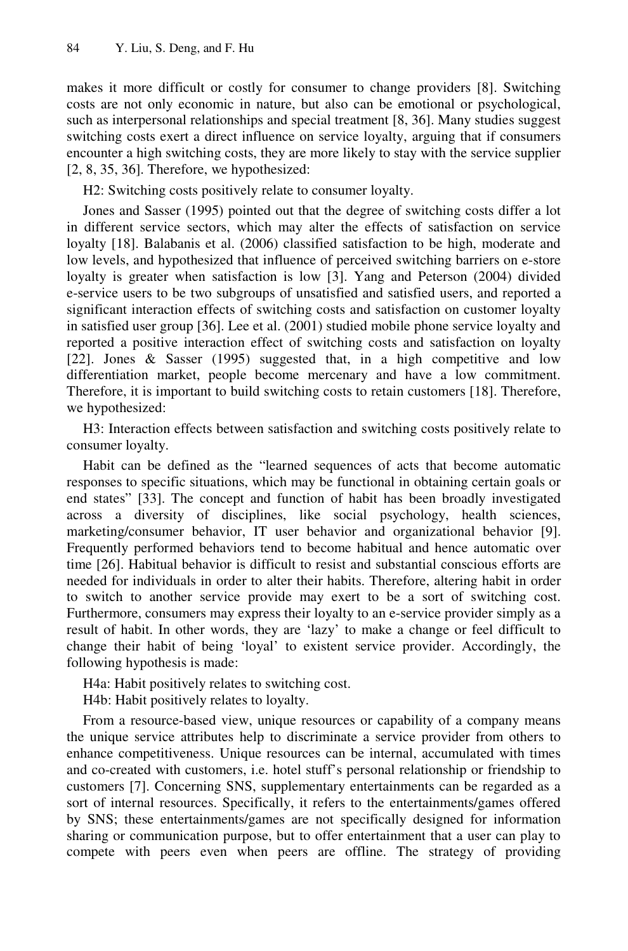makes it more difficult or costly for consumer to change providers [8]. Switching costs are not only economic in nature, but also can be emotional or psychological, such as interpersonal relationships and special treatment [8, 36]. Many studies suggest switching costs exert a direct influence on service loyalty, arguing that if consumers encounter a high switching costs, they are more likely to stay with the service supplier [2, 8, 35, 36]. Therefore, we hypothesized:

H2: Switching costs positively relate to consumer loyalty.

Jones and Sasser (1995) pointed out that the degree of switching costs differ a lot in different service sectors, which may alter the effects of satisfaction on service loyalty [18]. Balabanis et al. (2006) classified satisfaction to be high, moderate and low levels, and hypothesized that influence of perceived switching barriers on e-store loyalty is greater when satisfaction is low [3]. Yang and Peterson (2004) divided e-service users to be two subgroups of unsatisfied and satisfied users, and reported a significant interaction effects of switching costs and satisfaction on customer loyalty in satisfied user group [36]. Lee et al. (2001) studied mobile phone service loyalty and reported a positive interaction effect of switching costs and satisfaction on loyalty [22]. Jones & Sasser (1995) suggested that, in a high competitive and low differentiation market, people become mercenary and have a low commitment. Therefore, it is important to build switching costs to retain customers [18]. Therefore, we hypothesized:

H3: Interaction effects between satisfaction and switching costs positively relate to consumer loyalty.

Habit can be defined as the "learned sequences of acts that become automatic responses to specific situations, which may be functional in obtaining certain goals or end states" [33]. The concept and function of habit has been broadly investigated across a diversity of disciplines, like social psychology, health sciences, marketing/consumer behavior, IT user behavior and organizational behavior [9]. Frequently performed behaviors tend to become habitual and hence automatic over time [26]. Habitual behavior is difficult to resist and substantial conscious efforts are needed for individuals in order to alter their habits. Therefore, altering habit in order to switch to another service provide may exert to be a sort of switching cost. Furthermore, consumers may express their loyalty to an e-service provider simply as a result of habit. In other words, they are 'lazy' to make a change or feel difficult to change their habit of being 'loyal' to existent service provider. Accordingly, the following hypothesis is made:

H4a: Habit positively relates to switching cost.

H4b: Habit positively relates to loyalty.

From a resource-based view, unique resources or capability of a company means the unique service attributes help to discriminate a service provider from others to enhance competitiveness. Unique resources can be internal, accumulated with times and co-created with customers, i.e. hotel stuff's personal relationship or friendship to customers [7]. Concerning SNS, supplementary entertainments can be regarded as a sort of internal resources. Specifically, it refers to the entertainments/games offered by SNS; these entertainments/games are not specifically designed for information sharing or communication purpose, but to offer entertainment that a user can play to compete with peers even when peers are offline. The strategy of providing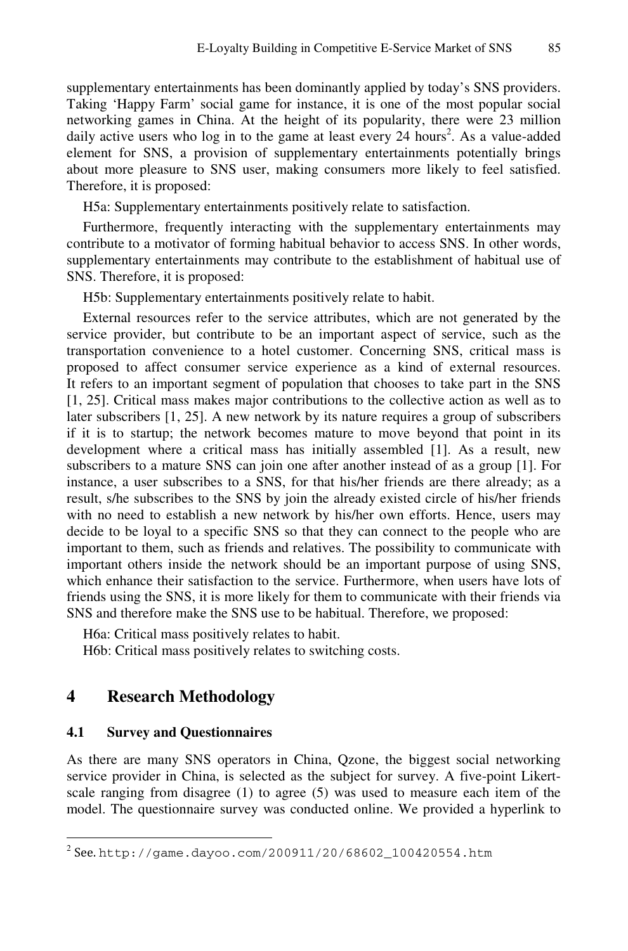supplementary entertainments has been dominantly applied by today's SNS providers. Taking 'Happy Farm' social game for instance, it is one of the most popular social networking games in China. At the height of its popularity, there were 23 million daily active users who log in to the game at least every 24 hours<sup>2</sup>. As a value-added element for SNS, a provision of supplementary entertainments potentially brings about more pleasure to SNS user, making consumers more likely to feel satisfied. Therefore, it is proposed:

H5a: Supplementary entertainments positively relate to satisfaction.

Furthermore, frequently interacting with the supplementary entertainments may contribute to a motivator of forming habitual behavior to access SNS. In other words, supplementary entertainments may contribute to the establishment of habitual use of SNS. Therefore, it is proposed:

H5b: Supplementary entertainments positively relate to habit.

External resources refer to the service attributes, which are not generated by the service provider, but contribute to be an important aspect of service, such as the transportation convenience to a hotel customer. Concerning SNS, critical mass is proposed to affect consumer service experience as a kind of external resources. It refers to an important segment of population that chooses to take part in the SNS [1, 25]. Critical mass makes major contributions to the collective action as well as to later subscribers [1, 25]. A new network by its nature requires a group of subscribers if it is to startup; the network becomes mature to move beyond that point in its development where a critical mass has initially assembled [1]. As a result, new subscribers to a mature SNS can join one after another instead of as a group [1]. For instance, a user subscribes to a SNS, for that his/her friends are there already; as a result, s/he subscribes to the SNS by join the already existed circle of his/her friends with no need to establish a new network by his/her own efforts. Hence, users may decide to be loyal to a specific SNS so that they can connect to the people who are important to them, such as friends and relatives. The possibility to communicate with important others inside the network should be an important purpose of using SNS, which enhance their satisfaction to the service. Furthermore, when users have lots of friends using the SNS, it is more likely for them to communicate with their friends via SNS and therefore make the SNS use to be habitual. Therefore, we proposed:

H6a: Critical mass positively relates to habit.

H6b: Critical mass positively relates to switching costs.

# **4 Research Methodology**

### **4.1 Survey and Questionnaires**

-

As there are many SNS operators in China, Qzone, the biggest social networking service provider in China, is selected as the subject for survey. A five-point Likertscale ranging from disagree (1) to agree (5) was used to measure each item of the model. The questionnaire survey was conducted online. We provided a hyperlink to

 $2$  See. http://game.dayoo.com/200911/20/68602\_100420554.htm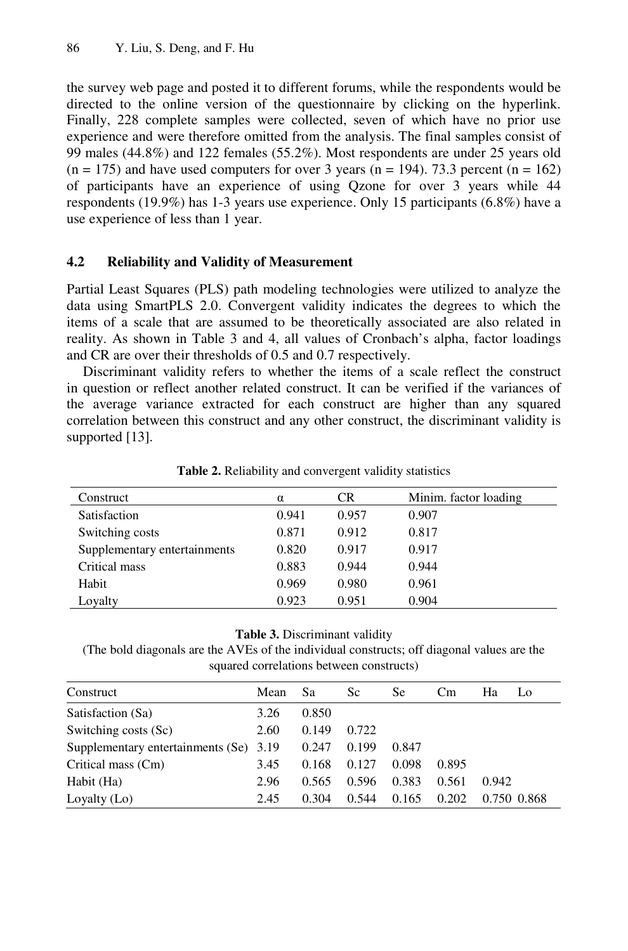the survey web page and posted it to different forums, while the respondents would be directed to the online version of the questionnaire by clicking on the hyperlink. Finally, 228 complete samples were collected, seven of which have no prior use experience and were therefore omitted from the analysis. The final samples consist of 99 males (44.8%) and 122 females (55.2%). Most respondents are under 25 years old  $(n = 175)$  and have used computers for over 3 years  $(n = 194)$ . 73.3 percent  $(n = 162)$ of participants have an experience of using Qzone for over 3 years while 44 respondents (19.9%) has 1-3 years use experience. Only 15 participants (6.8%) have a use experience of less than 1 year.

### **4.2 Reliability and Validity of Measurement**

Partial Least Squares (PLS) path modeling technologies were utilized to analyze the data using SmartPLS 2.0. Convergent validity indicates the degrees to which the items of a scale that are assumed to be theoretically associated are also related in reality. As shown in Table 3 and 4, all values of Cronbach's alpha, factor loadings and CR are over their thresholds of 0.5 and 0.7 respectively.

Discriminant validity refers to whether the items of a scale reflect the construct in question or reflect another related construct. It can be verified if the variances of the average variance extracted for each construct are higher than any squared correlation between this construct and any other construct, the discriminant validity is supported [13].

| Construct                    | α     | CR    | Minim. factor loading |  |  |
|------------------------------|-------|-------|-----------------------|--|--|
| Satisfaction                 | 0.941 | 0.957 | 0.907                 |  |  |
| Switching costs              | 0.871 | 0.912 | 0.817                 |  |  |
| Supplementary entertainments | 0.820 | 0.917 | 0.917                 |  |  |
| Critical mass                | 0.883 | 0.944 | 0.944                 |  |  |
| Habit                        | 0.969 | 0.980 | 0.961                 |  |  |
| Loyalty                      | 0.923 | 0.951 | 0.904                 |  |  |

**Table 2.** Reliability and convergent validity statistics

### **Table 3.** Discriminant validity

(The bold diagonals are the AVEs of the individual constructs; off diagonal values are the squared correlations between constructs)

| Construct                              | Mean | Sa    | Sc    | <b>Se</b> | C <sub>m</sub> | Ha<br>L0    |  |
|----------------------------------------|------|-------|-------|-----------|----------------|-------------|--|
| Satisfaction (Sa)                      | 3.26 | 0.850 |       |           |                |             |  |
| Switching costs (Sc)                   | 2.60 | 0.149 | 0.722 |           |                |             |  |
| Supplementary entertainments (Se) 3.19 |      | 0.247 | 0.199 | 0.847     |                |             |  |
| Critical mass (Cm)                     | 3.45 | 0.168 | 0.127 | 0.098     | 0.895          |             |  |
| Habit (Ha)                             | 2.96 | 0.565 | 0.596 | 0.383     | 0.561          | 0.942       |  |
| Loyalty $(Lo)$                         | 2.45 | 0.304 | 0.544 | 0.165     | 0.202          | 0.750 0.868 |  |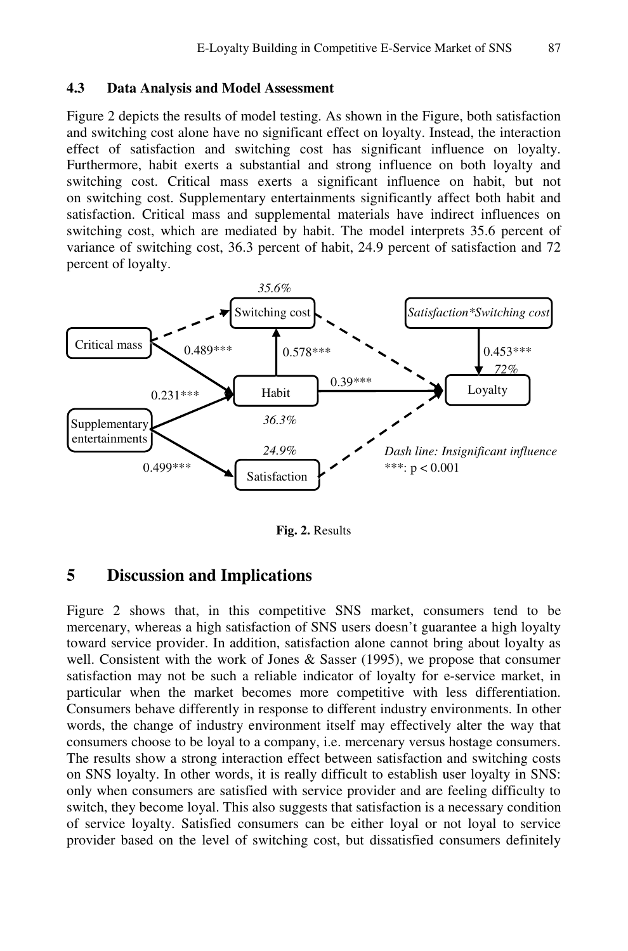#### **4.3 Data Analysis and Model Assessment**

Figure 2 depicts the results of model testing. As shown in the Figure, both satisfaction and switching cost alone have no significant effect on loyalty. Instead, the interaction effect of satisfaction and switching cost has significant influence on loyalty. Furthermore, habit exerts a substantial and strong influence on both loyalty and switching cost. Critical mass exerts a significant influence on habit, but not on switching cost. Supplementary entertainments significantly affect both habit and satisfaction. Critical mass and supplemental materials have indirect influences on switching cost, which are mediated by habit. The model interprets 35.6 percent of variance of switching cost, 36.3 percent of habit, 24.9 percent of satisfaction and 72 percent of loyalty.



**Fig. 2.** Results

# **5 Discussion and Implications**

Figure 2 shows that, in this competitive SNS market, consumers tend to be mercenary, whereas a high satisfaction of SNS users doesn't guarantee a high loyalty toward service provider. In addition, satisfaction alone cannot bring about loyalty as well. Consistent with the work of Jones & Sasser (1995), we propose that consumer satisfaction may not be such a reliable indicator of loyalty for e-service market, in particular when the market becomes more competitive with less differentiation. Consumers behave differently in response to different industry environments. In other words, the change of industry environment itself may effectively alter the way that consumers choose to be loyal to a company, i.e. mercenary versus hostage consumers. The results show a strong interaction effect between satisfaction and switching costs on SNS loyalty. In other words, it is really difficult to establish user loyalty in SNS: only when consumers are satisfied with service provider and are feeling difficulty to switch, they become loyal. This also suggests that satisfaction is a necessary condition of service loyalty. Satisfied consumers can be either loyal or not loyal to service provider based on the level of switching cost, but dissatisfied consumers definitely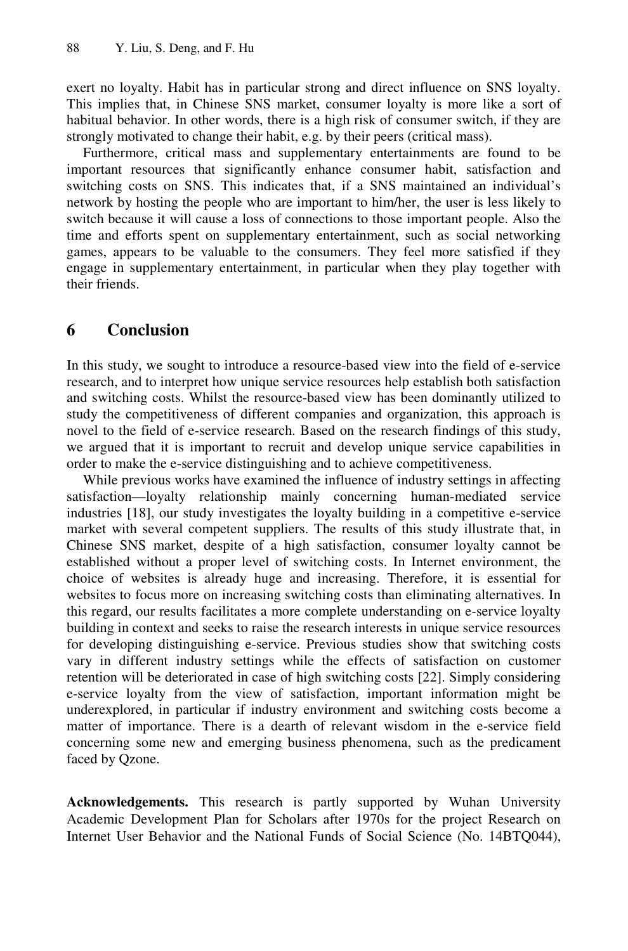exert no loyalty. Habit has in particular strong and direct influence on SNS loyalty. This implies that, in Chinese SNS market, consumer loyalty is more like a sort of habitual behavior. In other words, there is a high risk of consumer switch, if they are strongly motivated to change their habit, e.g. by their peers (critical mass).

Furthermore, critical mass and supplementary entertainments are found to be important resources that significantly enhance consumer habit, satisfaction and switching costs on SNS. This indicates that, if a SNS maintained an individual's network by hosting the people who are important to him/her, the user is less likely to switch because it will cause a loss of connections to those important people. Also the time and efforts spent on supplementary entertainment, such as social networking games, appears to be valuable to the consumers. They feel more satisfied if they engage in supplementary entertainment, in particular when they play together with their friends.

### **6 Conclusion**

In this study, we sought to introduce a resource-based view into the field of e-service research, and to interpret how unique service resources help establish both satisfaction and switching costs. Whilst the resource-based view has been dominantly utilized to study the competitiveness of different companies and organization, this approach is novel to the field of e-service research. Based on the research findings of this study, we argued that it is important to recruit and develop unique service capabilities in order to make the e-service distinguishing and to achieve competitiveness.

While previous works have examined the influence of industry settings in affecting satisfaction—loyalty relationship mainly concerning human-mediated service industries [18], our study investigates the loyalty building in a competitive e-service market with several competent suppliers. The results of this study illustrate that, in Chinese SNS market, despite of a high satisfaction, consumer loyalty cannot be established without a proper level of switching costs. In Internet environment, the choice of websites is already huge and increasing. Therefore, it is essential for websites to focus more on increasing switching costs than eliminating alternatives. In this regard, our results facilitates a more complete understanding on e-service loyalty building in context and seeks to raise the research interests in unique service resources for developing distinguishing e-service. Previous studies show that switching costs vary in different industry settings while the effects of satisfaction on customer retention will be deteriorated in case of high switching costs [22]. Simply considering e-service loyalty from the view of satisfaction, important information might be underexplored, in particular if industry environment and switching costs become a matter of importance. There is a dearth of relevant wisdom in the e-service field concerning some new and emerging business phenomena, such as the predicament faced by Qzone.

**Acknowledgements.** This research is partly supported by Wuhan University Academic Development Plan for Scholars after 1970s for the project Research on Internet User Behavior and the National Funds of Social Science (No. 14BTQ044),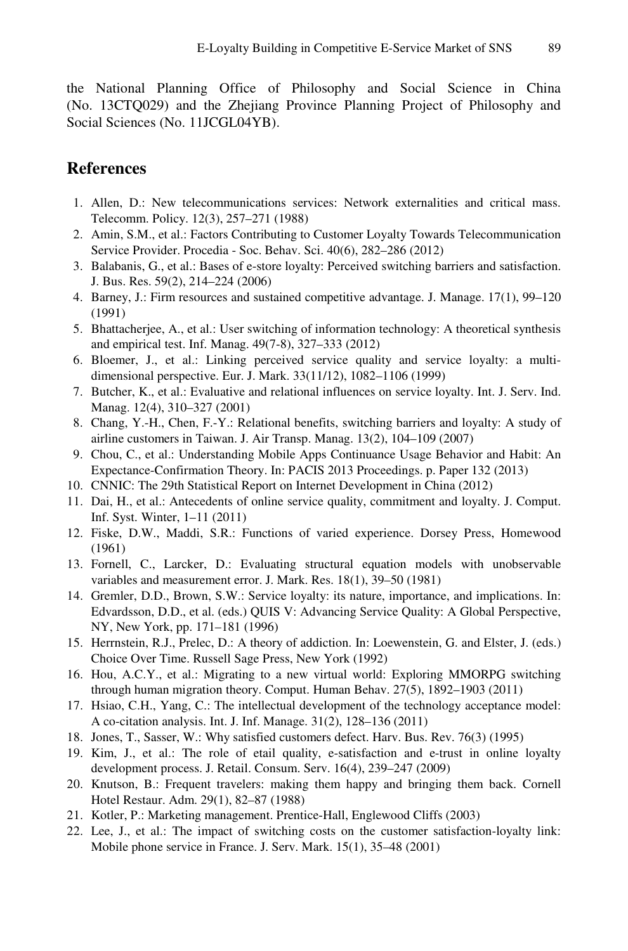the National Planning Office of Philosophy and Social Science in China (No. 13CTQ029) and the Zhejiang Province Planning Project of Philosophy and Social Sciences (No. 11JCGL04YB).

# **References**

- 1. Allen, D.: New telecommunications services: Network externalities and critical mass. Telecomm. Policy. 12(3), 257–271 (1988)
- 2. Amin, S.M., et al.: Factors Contributing to Customer Loyalty Towards Telecommunication Service Provider. Procedia - Soc. Behav. Sci. 40(6), 282–286 (2012)
- 3. Balabanis, G., et al.: Bases of e-store loyalty: Perceived switching barriers and satisfaction. J. Bus. Res. 59(2), 214–224 (2006)
- 4. Barney, J.: Firm resources and sustained competitive advantage. J. Manage. 17(1), 99–120 (1991)
- 5. Bhattacherjee, A., et al.: User switching of information technology: A theoretical synthesis and empirical test. Inf. Manag. 49(7-8), 327–333 (2012)
- 6. Bloemer, J., et al.: Linking perceived service quality and service loyalty: a multidimensional perspective. Eur. J. Mark. 33(11/12), 1082–1106 (1999)
- 7. Butcher, K., et al.: Evaluative and relational influences on service loyalty. Int. J. Serv. Ind. Manag. 12(4), 310–327 (2001)
- 8. Chang, Y.-H., Chen, F.-Y.: Relational benefits, switching barriers and loyalty: A study of airline customers in Taiwan. J. Air Transp. Manag. 13(2), 104–109 (2007)
- 9. Chou, C., et al.: Understanding Mobile Apps Continuance Usage Behavior and Habit: An Expectance-Confirmation Theory. In: PACIS 2013 Proceedings. p. Paper 132 (2013)
- 10. CNNIC: The 29th Statistical Report on Internet Development in China (2012)
- 11. Dai, H., et al.: Antecedents of online service quality, commitment and loyalty. J. Comput. Inf. Syst. Winter, 1–11 (2011)
- 12. Fiske, D.W., Maddi, S.R.: Functions of varied experience. Dorsey Press, Homewood (1961)
- 13. Fornell, C., Larcker, D.: Evaluating structural equation models with unobservable variables and measurement error. J. Mark. Res. 18(1), 39–50 (1981)
- 14. Gremler, D.D., Brown, S.W.: Service loyalty: its nature, importance, and implications. In: Edvardsson, D.D., et al. (eds.) QUIS V: Advancing Service Quality: A Global Perspective, NY, New York, pp. 171–181 (1996)
- 15. Herrnstein, R.J., Prelec, D.: A theory of addiction. In: Loewenstein, G. and Elster, J. (eds.) Choice Over Time. Russell Sage Press, New York (1992)
- 16. Hou, A.C.Y., et al.: Migrating to a new virtual world: Exploring MMORPG switching through human migration theory. Comput. Human Behav. 27(5), 1892–1903 (2011)
- 17. Hsiao, C.H., Yang, C.: The intellectual development of the technology acceptance model: A co-citation analysis. Int. J. Inf. Manage. 31(2), 128–136 (2011)
- 18. Jones, T., Sasser, W.: Why satisfied customers defect. Harv. Bus. Rev. 76(3) (1995)
- 19. Kim, J., et al.: The role of etail quality, e-satisfaction and e-trust in online loyalty development process. J. Retail. Consum. Serv. 16(4), 239–247 (2009)
- 20. Knutson, B.: Frequent travelers: making them happy and bringing them back. Cornell Hotel Restaur. Adm. 29(1), 82–87 (1988)
- 21. Kotler, P.: Marketing management. Prentice-Hall, Englewood Cliffs (2003)
- 22. Lee, J., et al.: The impact of switching costs on the customer satisfaction-loyalty link: Mobile phone service in France. J. Serv. Mark. 15(1), 35–48 (2001)